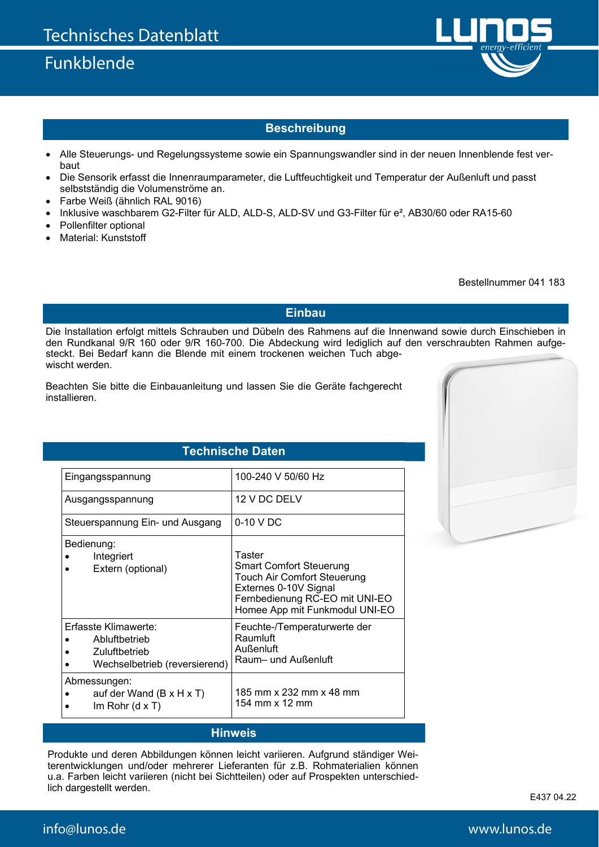# Funkblende



#### **Beschreibung**

- Alle Steuerungs- und Regelungssysteme sowie ein Spannungswandler sind in der neuen Innenblende fest verbaut
- Die Sensorik erfasst die Innenraumparameter, die Luftfeuchtigkeit und Temperatur der Außenluft und passt selbstständig die Volumenströme an.
- Farbe Weiß (ähnlich RAL 9016)
- Inklusive waschbarem G2-Filter für ALD, ALD-S, ALD-SV und G3-Filter für e², AB30/60 oder RA15-60
- Pollenfilter optional
- Material: Kunststoff

Bestellnummer 041 183

**Einbau** 

Die Installation erfolgt mittels Schrauben und Dübeln des Rahmens auf die Innenwand sowie durch Einschieben in den Rundkanal 9/R 160 oder 9/R 160-700. Die Abdeckung wird lediglich auf den verschraubten Rahmen aufgesteckt. Bei Bedarf kann die Blende mit einem trockenen weichen Tuch abgewischt werden.

Beachten Sie bitte die Einbauanleitung und lassen Sie die Geräte fachgerecht installieren.

### **Technische Daten**

| Eingangsspannung                                                                        | 100-240 V 50/60 Hz                                                                                                                                                          |
|-----------------------------------------------------------------------------------------|-----------------------------------------------------------------------------------------------------------------------------------------------------------------------------|
| Ausgangsspannung                                                                        | 12 V DC DELV                                                                                                                                                                |
| Steuerspannung Ein- und Ausgang                                                         | 0-10 V DC                                                                                                                                                                   |
| Bedienung:<br>Integriert<br>Extern (optional)                                           | Taster<br><b>Smart Comfort Steuerung</b><br><b>Touch Air Comfort Steuerung</b><br>Externes 0-10V Signal<br>Fernbedienung RC-EO mit UNI-EO<br>Homee App mit Funkmodul UNI-EO |
| Erfasste Klimawerte:<br>Abluftbetrieb<br>Zuluftbetrieb<br>Wechselbetrieb (reversierend) | Feuchte-/Temperaturwerte der<br>Raumluft<br>Außenluft<br>Raum- und Außenluft                                                                                                |
| Abmessungen:<br>auf der Wand $(B \times H \times T)$<br>$Im$ Rohr (d x T)               | 185 mm x 232 mm x 48 mm<br>154 mm x 12 mm                                                                                                                                   |

#### **Hinweis**

Produkte und deren Abbildungen können leicht variieren. Aufgrund ständiger Weiterentwicklungen und/oder mehrerer Lieferanten für z.B. Rohmaterialien können u.a. Farben leicht variieren (nicht bei Sichtteilen) oder auf Prospekten unterschiedlich dargestellt werden.

E437 04.22